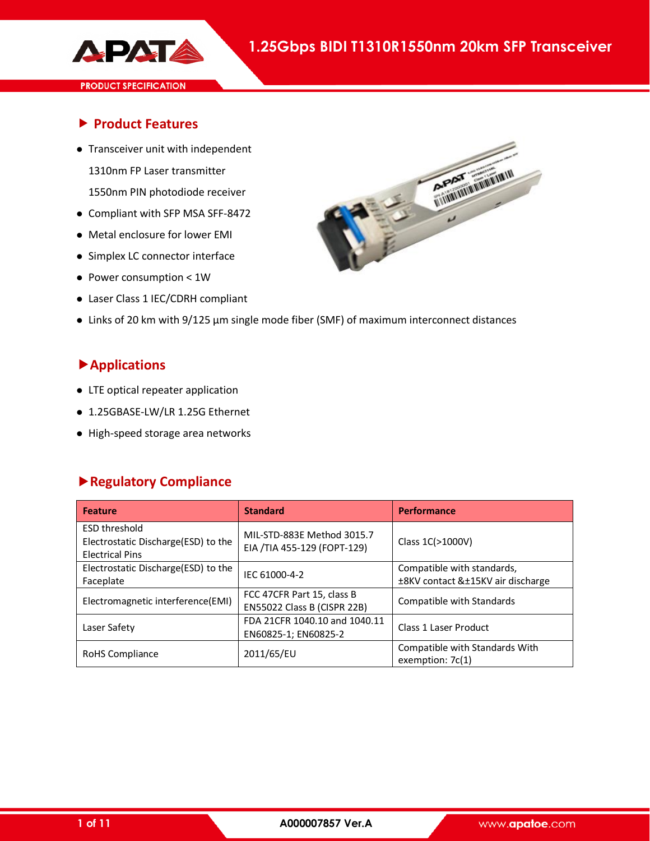

### **Product Features**

- Transceiver unit with independent 1310nm FP Laser transmitter 1550nm PIN photodiode receiver
- Compliant with SFP MSA SFF-8472
- Metal enclosure for lower EMI
- Simplex LC connector interface
- Power consumption < 1W
- Laser Class 1 IEC/CDRH compliant



### **Applications**

- LTE optical repeater application
- 1.25GBASE-LW/LR 1.25G Ethernet
- High-speed storage area networks

## **Regulatory Compliance**

| <b>Feature</b>                                                                        | <b>Standard</b>                                           | <b>Performance</b>                                              |
|---------------------------------------------------------------------------------------|-----------------------------------------------------------|-----------------------------------------------------------------|
| <b>ESD threshold</b><br>Electrostatic Discharge(ESD) to the<br><b>Electrical Pins</b> | MIL-STD-883E Method 3015.7<br>EIA /TIA 455-129 (FOPT-129) | Class 1C(>1000V)                                                |
| Electrostatic Discharge(ESD) to the<br>Faceplate                                      | IEC 61000-4-2                                             | Compatible with standards,<br>±8KV contact &±15KV air discharge |
| Electromagnetic interference(EMI)                                                     | FCC 47CFR Part 15, class B<br>EN55022 Class B (CISPR 22B) | Compatible with Standards                                       |
| Laser Safety                                                                          | FDA 21CFR 1040.10 and 1040.11<br>EN60825-1; EN60825-2     | <b>Class 1 Laser Product</b>                                    |
| RoHS Compliance                                                                       | 2011/65/EU                                                | Compatible with Standards With<br>exemption: 7c(1)              |

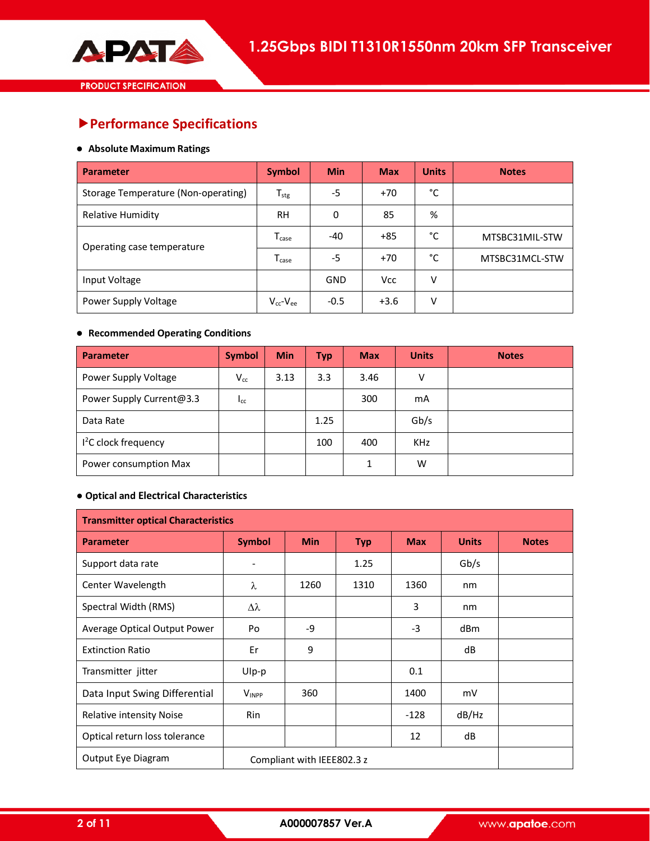# **Performance Specifications**

### **Absolute Maximum Ratings**

| <b>Parameter</b>                    | <b>Symbol</b>               | <b>Min</b> | <b>Max</b> | <b>Units</b> | <b>Notes</b>   |
|-------------------------------------|-----------------------------|------------|------------|--------------|----------------|
| Storage Temperature (Non-operating) | $\mathsf{T}_{\mathsf{stg}}$ | -5         | $+70$      | °C           |                |
| <b>Relative Humidity</b>            | <b>RH</b>                   | 0          | 85         | %            |                |
|                                     | T <sub>case</sub>           | -40        | $+85$      | °C           | MTSBC31MIL-STW |
| Operating case temperature          | T <sub>case</sub>           | -5         | $+70$      | °C           | MTSBC31MCL-STW |
| Input Voltage                       |                             | <b>GND</b> | <b>Vcc</b> | v            |                |
| Power Supply Voltage                | $V_{cc}$ - $V_{ee}$         | $-0.5$     | $+3.6$     | v            |                |

### **Recommended Operating Conditions**

| Parameter                        | <b>Symbol</b>          | <b>Min</b> | <b>Typ</b> | <b>Max</b> | <b>Units</b> | <b>Notes</b> |
|----------------------------------|------------------------|------------|------------|------------|--------------|--------------|
| Power Supply Voltage             | $V_{cc}$               | 3.13       | 3.3        | 3.46       | v            |              |
| Power Supply Current@3.3         | <b>I</b> <sub>CC</sub> |            |            | 300        | mA           |              |
| Data Rate                        |                        |            | 1.25       |            | Gb/s         |              |
| I <sup>2</sup> C clock frequency |                        |            | 100        | 400        | <b>KHz</b>   |              |
| Power consumption Max            |                        |            |            |            | W            |              |

### **● Optical and Electrical Characteristics**

| <b>Transmitter optical Characteristics</b> |                          |                            |            |            |              |              |  |  |
|--------------------------------------------|--------------------------|----------------------------|------------|------------|--------------|--------------|--|--|
| <b>Parameter</b>                           | <b>Symbol</b>            | <b>Min</b>                 | <b>Typ</b> | <b>Max</b> | <b>Units</b> | <b>Notes</b> |  |  |
| Support data rate                          | $\overline{\phantom{a}}$ |                            | 1.25       |            | Gb/s         |              |  |  |
| Center Wavelength                          | λ                        | 1260                       | 1310       | 1360       | nm           |              |  |  |
| Spectral Width (RMS)                       | Δλ                       |                            |            | 3          | nm           |              |  |  |
| Average Optical Output Power               | Po                       | -9                         |            | $-3$       | dBm          |              |  |  |
| <b>Extinction Ratio</b>                    | Er                       | 9                          |            |            | dB           |              |  |  |
| Transmitter jitter                         | $U$ Ip-p                 |                            |            | 0.1        |              |              |  |  |
| Data Input Swing Differential              | <b>VINPP</b>             | 360                        |            | 1400       | mV           |              |  |  |
| Relative intensity Noise                   | Rin                      |                            |            | $-128$     | dB/Hz        |              |  |  |
| Optical return loss tolerance              |                          |                            |            | 12         | dB           |              |  |  |
| Output Eye Diagram                         |                          | Compliant with IEEE802.3 z |            |            |              |              |  |  |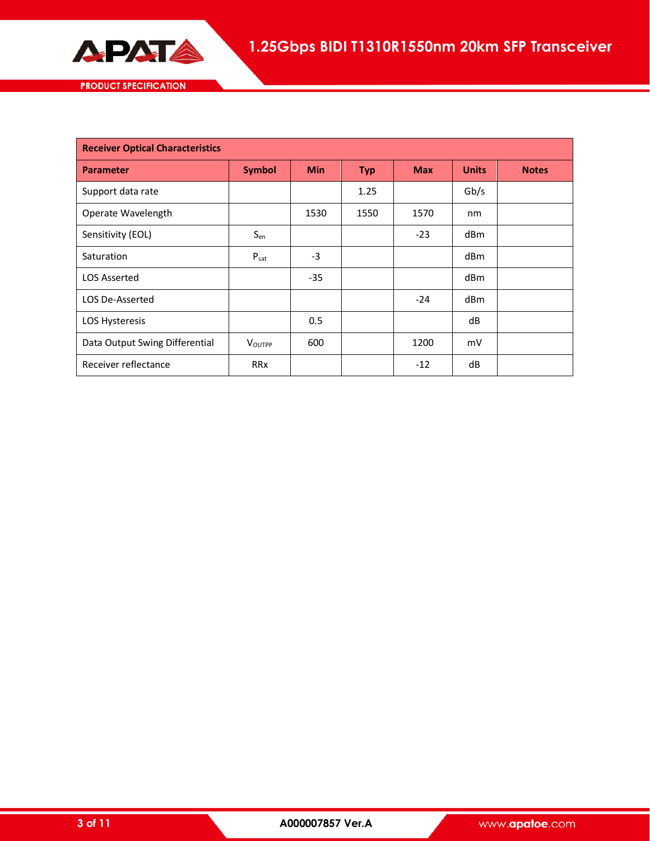

|  | <b>PRODUCT SPECIFICATION</b> |
|--|------------------------------|
|  |                              |

| <b>Receiver Optical Characteristics</b> |                  |            |            |            |                 |              |
|-----------------------------------------|------------------|------------|------------|------------|-----------------|--------------|
| <b>Parameter</b>                        | <b>Symbol</b>    | <b>Min</b> | <b>Typ</b> | <b>Max</b> | <b>Units</b>    | <b>Notes</b> |
| Support data rate                       |                  |            | 1.25       |            | Gb/s            |              |
| Operate Wavelength                      |                  | 1530       | 1550       | 1570       | nm              |              |
| Sensitivity (EOL)                       | $S_{en}$         |            |            | $-23$      | dBm             |              |
| Saturation                              | $P_{\text{sat}}$ | $-3$       |            |            | dB <sub>m</sub> |              |
| <b>LOS Asserted</b>                     |                  | $-35$      |            |            | dBm             |              |
| <b>LOS De-Asserted</b>                  |                  |            |            | $-24$      | dBm             |              |
| LOS Hysteresis                          |                  | 0.5        |            |            | dB              |              |
| Data Output Swing Differential          | VOUTPP           | 600        |            | 1200       | mV              |              |
| Receiver reflectance                    | <b>RRx</b>       |            |            | $-12$      | dB              |              |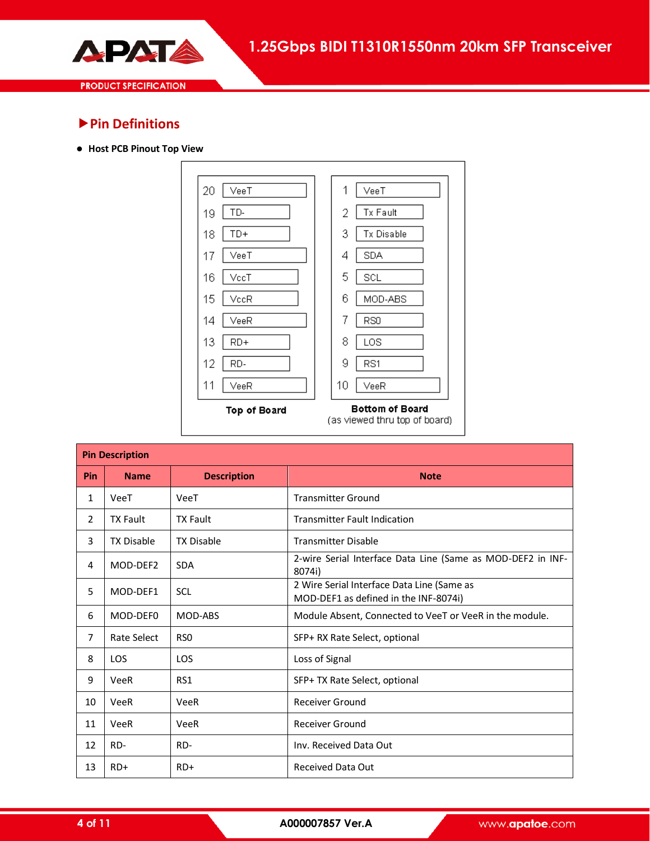

### **Pin Definitions**

**Host PCB Pinout Top View**



|                | <b>Pin Description</b> |                    |                                                                                     |  |  |  |
|----------------|------------------------|--------------------|-------------------------------------------------------------------------------------|--|--|--|
| Pin            | <b>Name</b>            | <b>Description</b> | <b>Note</b>                                                                         |  |  |  |
| 1              | VeeT                   | VeeT               | <b>Transmitter Ground</b>                                                           |  |  |  |
| $\overline{2}$ | <b>TX Fault</b>        | <b>TX Fault</b>    | <b>Transmitter Fault Indication</b>                                                 |  |  |  |
| 3              | <b>TX Disable</b>      | <b>TX Disable</b>  | <b>Transmitter Disable</b>                                                          |  |  |  |
| 4              | MOD-DEF2               | <b>SDA</b>         | 2-wire Serial Interface Data Line (Same as MOD-DEF2 in INF-<br>8074i)               |  |  |  |
| 5              | MOD-DEF1               | <b>SCL</b>         | 2 Wire Serial Interface Data Line (Same as<br>MOD-DEF1 as defined in the INF-8074i) |  |  |  |
| 6              | MOD-DEF0               | MOD-ABS            | Module Absent, Connected to VeeT or VeeR in the module.                             |  |  |  |
| 7              | Rate Select            | RS <sub>0</sub>    | SFP+ RX Rate Select, optional                                                       |  |  |  |
| 8              | <b>LOS</b>             | <b>LOS</b>         | Loss of Signal                                                                      |  |  |  |
| 9              | VeeR                   | RS1                | SFP+ TX Rate Select, optional                                                       |  |  |  |
| 10             | <b>VeeR</b>            | VeeR               | <b>Receiver Ground</b>                                                              |  |  |  |
| 11             | VeeR                   | VeeR               | <b>Receiver Ground</b>                                                              |  |  |  |
| 12             | RD-                    | RD-                | Inv. Received Data Out                                                              |  |  |  |
| 13             | $RD+$                  | $RD+$              | <b>Received Data Out</b>                                                            |  |  |  |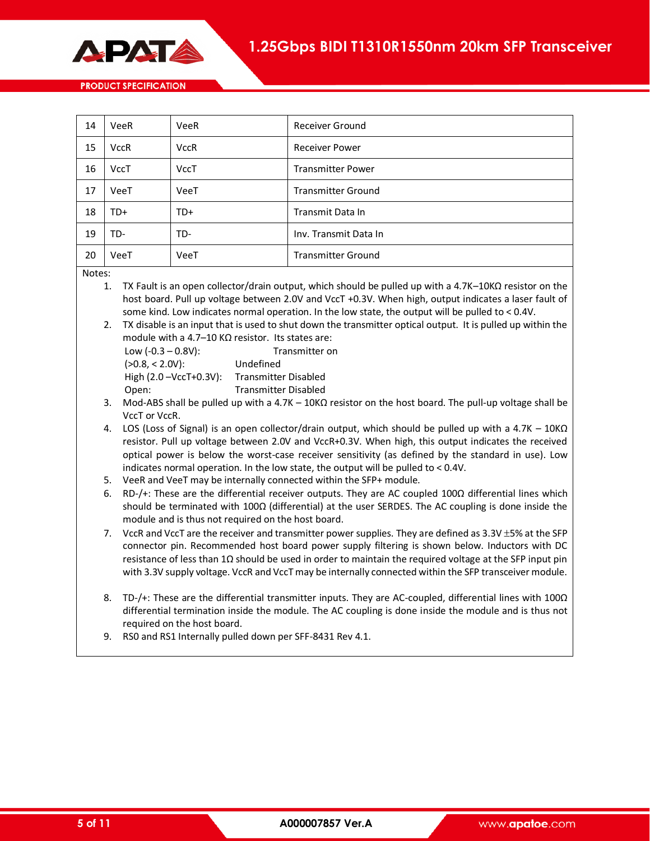

| 14 | VeeR        | VeeR        | <b>Receiver Ground</b>    |
|----|-------------|-------------|---------------------------|
| 15 | <b>VccR</b> | <b>VccR</b> | <b>Receiver Power</b>     |
| 16 | VccT        | <b>VccT</b> | <b>Transmitter Power</b>  |
| 17 | VeeT        | VeeT        | <b>Transmitter Ground</b> |
| 18 | TD+         | $TD+$       | Transmit Data In          |
| 19 | TD-         | TD-         | Inv. Transmit Data In     |
| 20 | VeeT        | VeeT        | <b>Transmitter Ground</b> |

Notes:

- 1. TX Fault is an open collector/drain output, which should be pulled up with a 4.7K–10KΩ resistor on the host board. Pull up voltage between 2.0V and VccT +0.3V. When high, output indicates a laser fault of some kind. Low indicates normal operation. In the low state, the output will be pulled to < 0.4V.
- 2. TX disable is an input that is used to shut down the transmitter optical output. It is pulled up within the module with a 4.7–10 KΩ resistor. Its states are:

| Low $(-0.3 - 0.8V)$ :        | Transmitter on              |
|------------------------------|-----------------------------|
| $(>0.8, < 2.0V)$ :           | Undefined                   |
| High $(2.0 - VccT + 0.3V)$ : | <b>Transmitter Disabled</b> |
| Open:                        | <b>Transmitter Disabled</b> |

- 3. Mod-ABS shall be pulled up with a 4.7K 10KΩ resistor on the host board. The pull-up voltage shall be VccT or VccR.
- 4. LOS (Loss of Signal) is an open collector/drain output, which should be pulled up with a 4.7K 10KΩ resistor. Pull up voltage between 2.0V and VccR+0.3V. When high, this output indicates the received optical power is below the worst-case receiver sensitivity (as defined by the standard in use). Low indicates normal operation. In the low state, the output will be pulled to < 0.4V.
- 5. VeeR and VeeT may be internally connected within the SFP+ module.
- 6. RD-/+: These are the differential receiver outputs. They are AC coupled 100Ω differential lines which should be terminated with 100Ω (differential) at the user SERDES. The AC coupling is done inside the module and is thus not required on the host board.
- 7. VccR and VccT are the receiver and transmitter power supplies. They are defined as  $3.3V \pm 5%$  at the SFP connector pin. Recommended host board power supply filtering is shown below. Inductors with DC resistance of less than 1Ω should be used in order to maintain the required voltage at the SFP input pin with 3.3V supply voltage. VccR and VccT may be internally connected within the SFP transceiver module.
- 8. TD-/+: These are the differential transmitter inputs. They are AC-coupled, differential lines with 100Ω differential termination inside the module. The AC coupling is done inside the module and is thus not required on the host board.
- 9. RS0 and RS1 Internally pulled down per SFF-8431 Rev 4.1.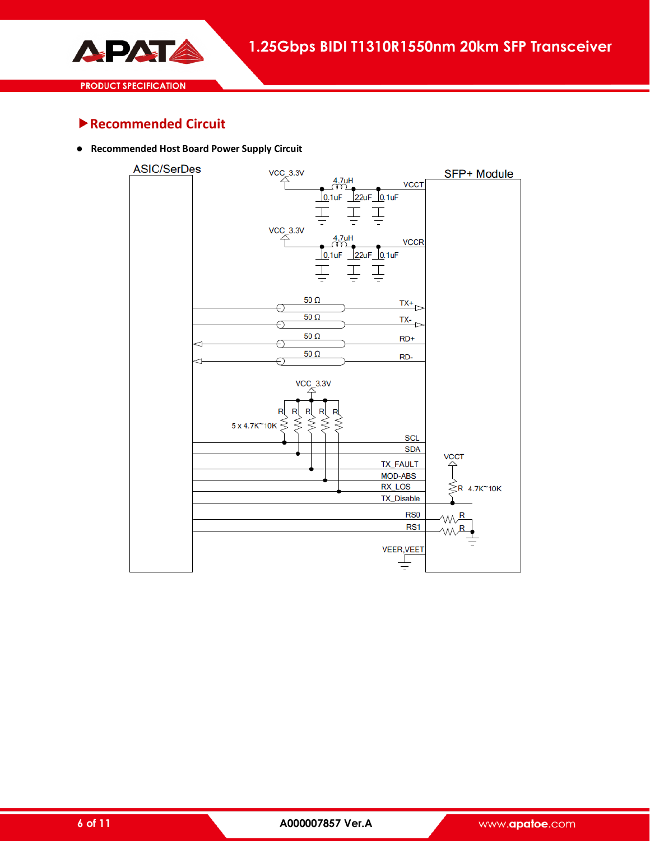

## **Recommended Circuit**

**Recommended Host Board Power Supply Circuit**

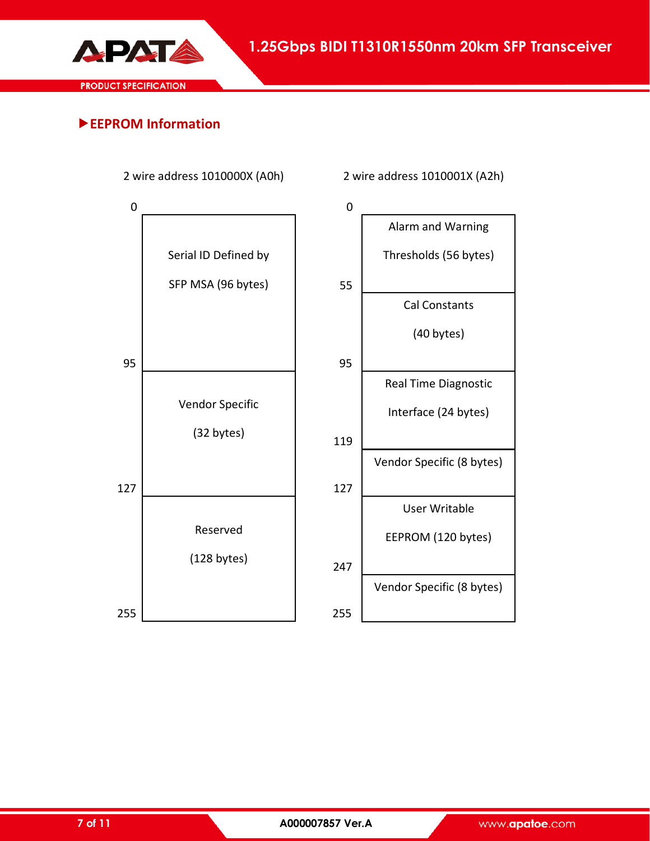

**EEPROM Information**



2 wire address 1010000X (A0h) 2 wire address 1010001X (A2h)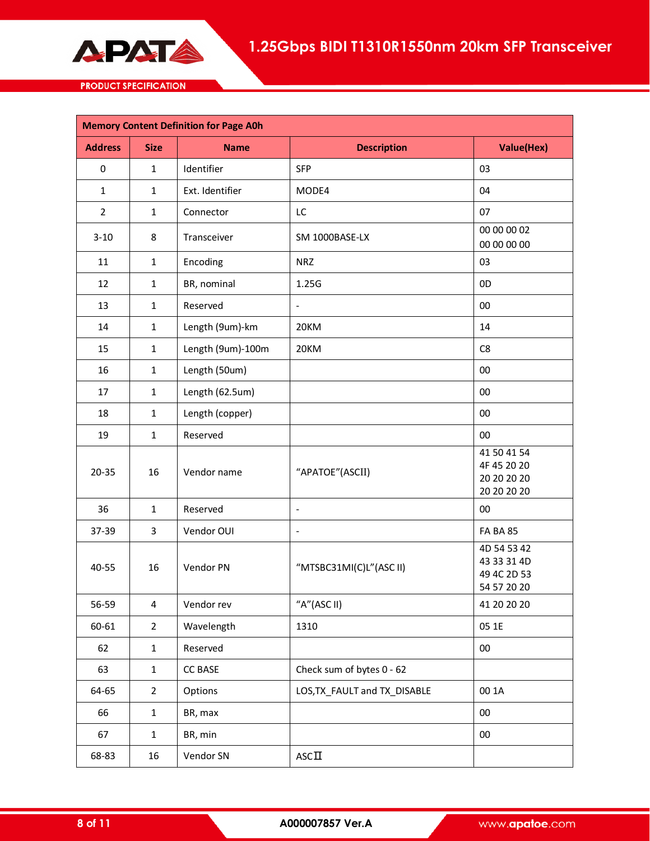

|                | <b>Memory Content Definition for Page A0h</b> |                   |                              |                                                          |  |  |  |
|----------------|-----------------------------------------------|-------------------|------------------------------|----------------------------------------------------------|--|--|--|
| <b>Address</b> | <b>Size</b>                                   | <b>Name</b>       | <b>Description</b>           | <b>Value(Hex)</b>                                        |  |  |  |
| 0              | $\mathbf{1}$                                  | Identifier        | <b>SFP</b>                   | 03                                                       |  |  |  |
| $\mathbf{1}$   | $\mathbf{1}$                                  | Ext. Identifier   | MODE4                        | 04                                                       |  |  |  |
| $\overline{2}$ | $\mathbf 1$                                   | Connector         | LC                           | 07                                                       |  |  |  |
| $3 - 10$       | 8                                             | Transceiver       | SM 1000BASE-LX               | 00 00 00 02<br>00 00 00 00                               |  |  |  |
| 11             | $\mathbf{1}$                                  | Encoding          | <b>NRZ</b>                   | 03                                                       |  |  |  |
| 12             | $\mathbf{1}$                                  | BR, nominal       | 1.25G                        | 0D                                                       |  |  |  |
| 13             | $\mathbf{1}$                                  | Reserved          | $\overline{\phantom{a}}$     | 00                                                       |  |  |  |
| 14             | $\mathbf{1}$                                  | Length (9um)-km   | 20KM                         | 14                                                       |  |  |  |
| 15             | $\mathbf{1}$                                  | Length (9um)-100m | 20KM                         | C8                                                       |  |  |  |
| 16             | $\mathbf{1}$                                  | Length (50um)     |                              | 00                                                       |  |  |  |
| 17             | $\mathbf{1}$                                  | Length (62.5um)   |                              | 00                                                       |  |  |  |
| 18             | $\mathbf{1}$                                  | Length (copper)   |                              | 00                                                       |  |  |  |
| 19             | $\mathbf 1$                                   | Reserved          |                              | 00                                                       |  |  |  |
| $20 - 35$      | 16                                            | Vendor name       | "APATOE"(ASCII)              | 41 50 41 54<br>4F 45 20 20<br>20 20 20 20<br>20 20 20 20 |  |  |  |
| 36             | $\mathbf{1}$                                  | Reserved          | $\blacksquare$               | 00                                                       |  |  |  |
| 37-39          | 3                                             | Vendor OUI        |                              | <b>FA BA 85</b>                                          |  |  |  |
| 40-55          | 16                                            | Vendor PN         | "MTSBC31MI(C)L"(ASC II)      | 4D 54 53 42<br>43 33 31 4D<br>49 4C 2D 53<br>54 57 20 20 |  |  |  |
| 56-59          | $\overline{\mathbf{4}}$                       | Vendor rev        | " $A$ "(ASC II)              | 41 20 20 20                                              |  |  |  |
| 60-61          | $\overline{2}$                                | Wavelength        | 1310                         | 05 1E                                                    |  |  |  |
| 62             | $\mathbf 1$                                   | Reserved          |                              | ${\bf 00}$                                               |  |  |  |
| 63             | $\mathbf{1}$                                  | <b>CC BASE</b>    | Check sum of bytes 0 - 62    |                                                          |  |  |  |
| 64-65          | $\overline{2}$                                | Options           | LOS, TX_FAULT and TX_DISABLE | 00 1A                                                    |  |  |  |
| 66             | $\mathbf{1}$                                  | BR, max           |                              | 00                                                       |  |  |  |
| 67             | $\mathbf 1$                                   | BR, min           |                              | 00                                                       |  |  |  |
| 68-83          | 16                                            | Vendor SN         | $\mathsf{ASC}\Pi$            |                                                          |  |  |  |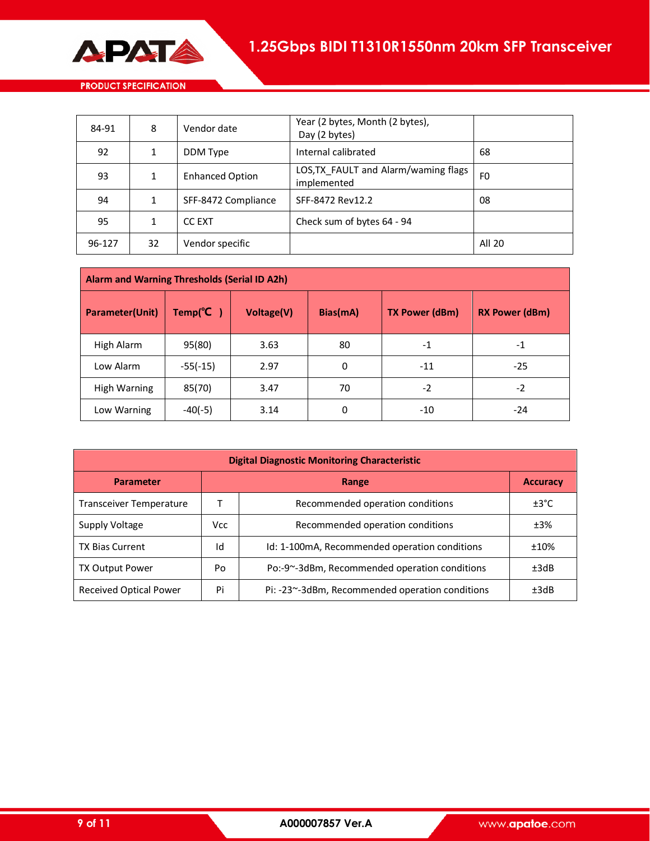

| 84-91  | 8  | Vendor date            | Year (2 bytes, Month (2 bytes),<br>Day (2 bytes)    |        |
|--------|----|------------------------|-----------------------------------------------------|--------|
| 92     |    | DDM Type               | Internal calibrated                                 | 68     |
| 93     |    | <b>Enhanced Option</b> | LOS, TX FAULT and Alarm/waming flags<br>implemented | F0     |
| 94     |    | SFF-8472 Compliance    | SFF-8472 Rev12.2                                    | 08     |
| 95     | 1  | <b>CC EXT</b>          | Check sum of bytes 64 - 94                          |        |
| 96-127 | 32 | Vendor specific        |                                                     | All 20 |

| Alarm and Warning Thresholds (Serial ID A2h) |                       |            |          |                       |                       |  |  |
|----------------------------------------------|-----------------------|------------|----------|-----------------------|-----------------------|--|--|
| Parameter(Unit)                              | Temp( ${}^{\circ}C$ ) | Voltage(V) | Bias(mA) | <b>TX Power (dBm)</b> | <b>RX Power (dBm)</b> |  |  |
| High Alarm                                   | 95(80)                | 3.63       | 80       | $-1$                  | $-1$                  |  |  |
| Low Alarm                                    | $-55(-15)$            | 2.97       | 0        | $-11$                 | $-25$                 |  |  |
| <b>High Warning</b>                          | 85(70)                | 3.47       | 70       | $-2$                  | $-2$                  |  |  |
| Low Warning                                  | $-40(-5)$             | 3.14       | 0        | $-10$                 | $-24$                 |  |  |

| <b>Digital Diagnostic Monitoring Characteristic</b> |              |                                                       |                 |  |  |  |
|-----------------------------------------------------|--------------|-------------------------------------------------------|-----------------|--|--|--|
| <b>Parameter</b>                                    | <b>Range</b> |                                                       | <b>Accuracy</b> |  |  |  |
| <b>Transceiver Temperature</b>                      |              | Recommended operation conditions                      | ±3°C            |  |  |  |
| Supply Voltage                                      | Vcc.         | Recommended operation conditions                      | ±3%             |  |  |  |
| <b>TX Bias Current</b>                              | Id           | Id: 1-100mA, Recommended operation conditions         | ±10%            |  |  |  |
| <b>TX Output Power</b>                              | Po           | Po:-9~-3dBm, Recommended operation conditions<br>±3dB |                 |  |  |  |
| <b>Received Optical Power</b>                       | Pi           | Pi: -23~-3dBm, Recommended operation conditions       | ±3dB            |  |  |  |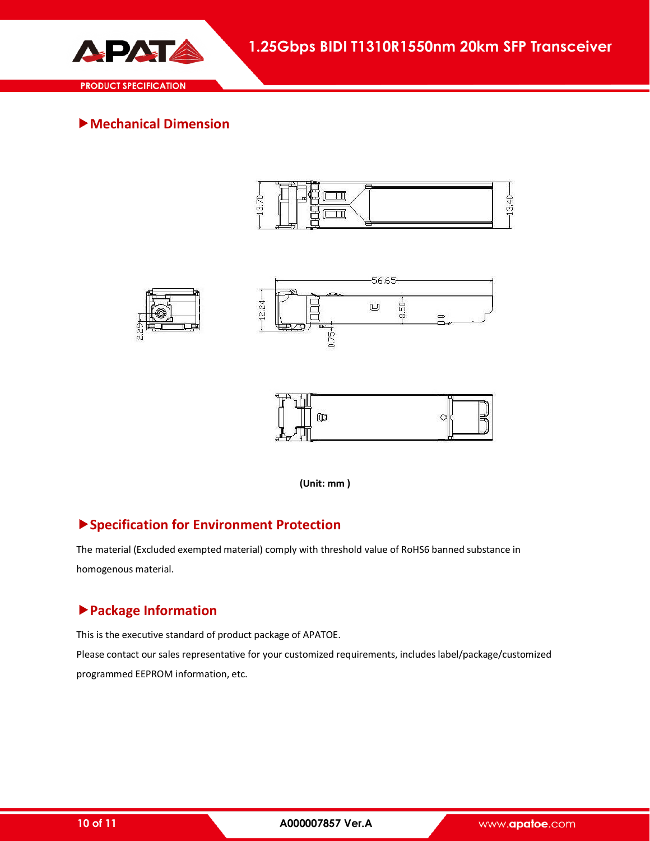

**Mechanical Dimension** 









**(Unit: mm )**

# **Specification for Environment Protection**

The material (Excluded exempted material) comply with threshold value of RoHS6 banned substance in homogenous material.

## **Package Information**

This is the executive standard of product package of APATOE. Please contact our sales representative for your customized requirements, includes label/package/customized programmed EEPROM information, etc.